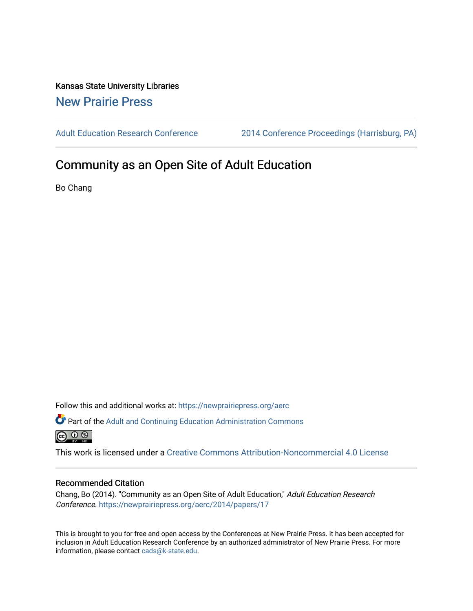Kansas State University Libraries [New Prairie Press](https://newprairiepress.org/) 

[Adult Education Research Conference](https://newprairiepress.org/aerc) [2014 Conference Proceedings \(Harrisburg, PA\)](https://newprairiepress.org/aerc/2014) 

# Community as an Open Site of Adult Education

Bo Chang

Follow this and additional works at: [https://newprairiepress.org/aerc](https://newprairiepress.org/aerc?utm_source=newprairiepress.org%2Faerc%2F2014%2Fpapers%2F17&utm_medium=PDF&utm_campaign=PDFCoverPages)

Part of the [Adult and Continuing Education Administration Commons](http://network.bepress.com/hgg/discipline/789?utm_source=newprairiepress.org%2Faerc%2F2014%2Fpapers%2F17&utm_medium=PDF&utm_campaign=PDFCoverPages)  $\circledcirc$ 

This work is licensed under a [Creative Commons Attribution-Noncommercial 4.0 License](https://creativecommons.org/licenses/by-nc/4.0/)

### Recommended Citation

Chang, Bo (2014). "Community as an Open Site of Adult Education," Adult Education Research Conference.<https://newprairiepress.org/aerc/2014/papers/17>

This is brought to you for free and open access by the Conferences at New Prairie Press. It has been accepted for inclusion in Adult Education Research Conference by an authorized administrator of New Prairie Press. For more information, please contact [cads@k-state.edu](mailto:cads@k-state.edu).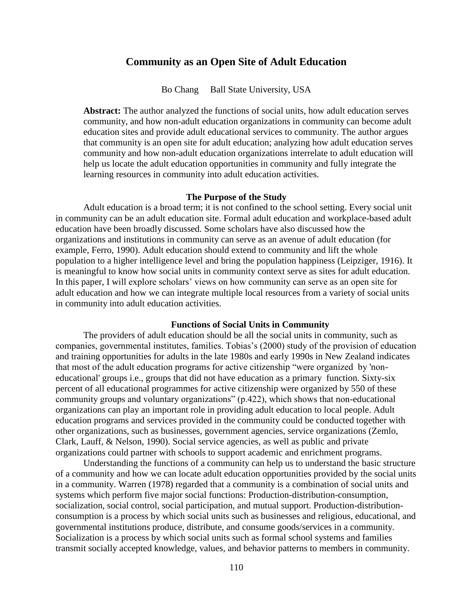# **Community as an Open Site of Adult Education**

Bo Chang Ball State University, USA

**Abstract:** The author analyzed the functions of social units, how adult education serves community, and how non-adult education organizations in community can become adult education sites and provide adult educational services to community. The author argues that community is an open site for adult education; analyzing how adult education serves community and how non-adult education organizations interrelate to adult education will help us locate the adult education opportunities in community and fully integrate the learning resources in community into adult education activities.

## **The Purpose of the Study**

Adult education is a broad term; it is not confined to the school setting. Every social unit in community can be an adult education site. Formal adult education and workplace-based adult education have been broadly discussed. Some scholars have also discussed how the organizations and institutions in community can serve as an avenue of adult education (for example, Ferro, 1990). Adult education should extend to community and lift the whole population to a higher intelligence level and bring the population happiness (Leipziger, 1916). It is meaningful to know how social units in community context serve as sites for adult education. In this paper, I will explore scholars' views on how community can serve as an open site for adult education and how we can integrate multiple local resources from a variety of social units in community into adult education activities.

#### **Functions of Social Units in Community**

The providers of adult education should be all the social units in community, such as companies, governmental institutes, families. Tobias's (2000) study of the provision of education and training opportunities for adults in the late 1980s and early 1990s in New Zealand indicates that most of the adult education programs for active citizenship "were organized by 'noneducational' groups i.e., groups that did not have education as a primary function. Sixty-six percent of all educational programmes for active citizenship were organized by 550 of these community groups and voluntary organizations" (p.422), which shows that non-educational organizations can play an important role in providing adult education to local people. Adult education programs and services provided in the community could be conducted together with other organizations, such as businesses, government agencies, service organizations (Zemlo, Clark, Lauff, & Nelson, 1990). Social service agencies, as well as public and private organizations could partner with schools to support academic and enrichment programs.

Understanding the functions of a community can help us to understand the basic structure of a community and how we can locate adult education opportunities provided by the social units in a community. Warren (1978) regarded that a community is a combination of social units and systems which perform five major social functions: Production-distribution-consumption, socialization, social control, social participation, and mutual support. Production-distributionconsumption is a process by which social units such as businesses and religious, educational, and governmental institutions produce, distribute, and consume goods/services in a community. Socialization is a process by which social units such as formal school systems and families transmit socially accepted knowledge, values, and behavior patterns to members in community.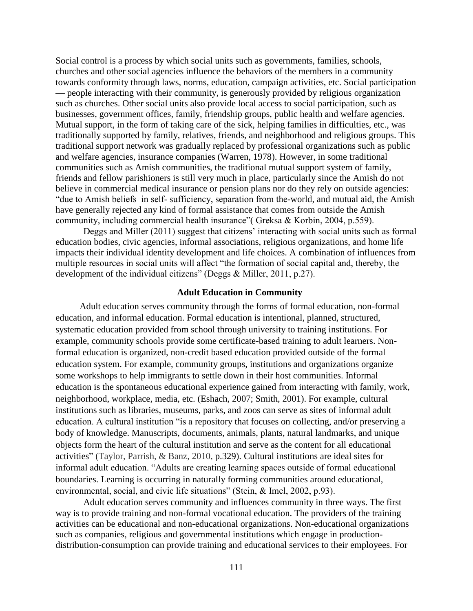Social control is a process by which social units such as governments, families, schools, churches and other social agencies influence the behaviors of the members in a community towards conformity through laws, norms, education, campaign activities, etc. Social participation — people interacting with their community, is generously provided by religious organization such as churches. Other social units also provide local access to social participation, such as businesses, government offices, family, friendship groups, public health and welfare agencies. Mutual support, in the form of taking care of the sick, helping families in difficulties, etc., was traditionally supported by family, relatives, friends, and neighborhood and religious groups. This traditional support network was gradually replaced by professional organizations such as public and welfare agencies, insurance companies (Warren, 1978). However, in some traditional communities such as Amish communities, the traditional mutual support system of family, friends and fellow parishioners is still very much in place, particularly since the Amish do not believe in commercial medical insurance or pension plans nor do they rely on outside agencies: "due to Amish beliefs in self- sufficiency, separation from the-world, and mutual aid, the Amish have generally rejected any kind of formal assistance that comes from outside the Amish community, including commercial health insurance"( Greksa & Korbin, 2004, p.559).

Deggs and Miller (2011) suggest that citizens' interacting with social units such as formal education bodies, civic agencies, informal associations, religious organizations, and home life impacts their individual identity development and life choices. A combination of influences from multiple resources in social units will affect "the formation of social capital and, thereby, the development of the individual citizens" (Deggs & Miller, 2011, p.27).

#### **Adult Education in Community**

 Adult education serves community through the forms of formal education, non-formal education, and informal education. Formal education is intentional, planned, structured, systematic education provided from school through university to training institutions. For example, community schools provide some certificate-based training to adult learners. Nonformal education is organized, non-credit based education provided outside of the formal education system. For example, community groups, institutions and organizations organize some workshops to help immigrants to settle down in their host communities. Informal education is the spontaneous educational experience gained from interacting with family, work, neighborhood, workplace, media, etc. (Eshach, 2007; Smith, 2001). For example, cultural institutions such as libraries, museums, parks, and zoos can serve as sites of informal adult education. A cultural institution "is a repository that focuses on collecting, and/or preserving a body of knowledge. Manuscripts, documents, animals, plants, natural landmarks, and unique objects form the heart of the cultural institution and serve as the content for all educational activities" (Taylor, Parrish, & Banz, 2010, p.329). Cultural institutions are ideal sites for informal adult education. "Adults are creating learning spaces outside of formal educational boundaries. Learning is occurring in naturally forming communities around educational, environmental, social, and civic life situations" (Stein, & Imel, 2002, p.93).

Adult education serves community and influences community in three ways. The first way is to provide training and non-formal vocational education. The providers of the training activities can be educational and non-educational organizations. Non-educational organizations such as companies, religious and governmental institutions which engage in productiondistribution-consumption can provide training and educational services to their employees. For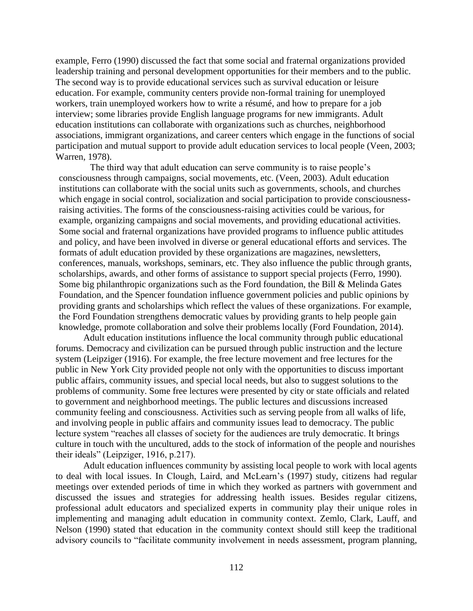example, Ferro (1990) discussed the fact that some social and fraternal organizations provided leadership training and personal development opportunities for their members and to the public. The second way is to provide educational services such as survival education or leisure education. For example, community centers provide non-formal training for unemployed workers, train unemployed workers how to write a résumé, and how to prepare for a job interview; some libraries provide English language programs for new immigrants. Adult education institutions can collaborate with organizations such as churches, neighborhood associations, immigrant organizations, and career centers which engage in the functions of social participation and mutual support to provide adult education services to local people (Veen, 2003; Warren, 1978).

The third way that adult education can serve community is to raise people's consciousness through campaigns, social movements, etc. (Veen, 2003). Adult education institutions can collaborate with the social units such as governments, schools, and churches which engage in social control, socialization and social participation to provide consciousnessraising activities. The forms of the consciousness-raising activities could be various, for example, organizing campaigns and social movements, and providing educational activities. Some social and fraternal organizations have provided programs to influence public attitudes and policy, and have been involved in diverse or general educational efforts and services. The formats of adult education provided by these organizations are magazines, newsletters, conferences, manuals, workshops, seminars, etc. They also influence the public through grants, scholarships, awards, and other forms of assistance to support special projects (Ferro, 1990). Some big philanthropic organizations such as the Ford foundation, the Bill & Melinda Gates Foundation, and the Spencer foundation influence government policies and public opinions by providing grants and scholarships which reflect the values of these organizations. For example, the Ford Foundation strengthens democratic values by providing grants to help people gain knowledge, promote collaboration and solve their problems locally (Ford Foundation, 2014).

Adult education institutions influence the local community through public educational forums. Democracy and civilization can be pursued through public instruction and the lecture system (Leipziger (1916). For example, the free lecture movement and free lectures for the public in New York City provided people not only with the opportunities to discuss important public affairs, community issues, and special local needs, but also to suggest solutions to the problems of community. Some free lectures were presented by city or state officials and related to government and neighborhood meetings. The public lectures and discussions increased community feeling and consciousness. Activities such as serving people from all walks of life, and involving people in public affairs and community issues lead to democracy. The public lecture system "reaches all classes of society for the audiences are truly democratic. It brings culture in touch with the uncultured, adds to the stock of information of the people and nourishes their ideals" (Leipziger, 1916, p.217).

Adult education influences community by assisting local people to work with local agents to deal with local issues. In Clough, Laird, and McLearn's (1997) study, citizens had regular meetings over extended periods of time in which they worked as partners with government and discussed the issues and strategies for addressing health issues. Besides regular citizens, professional adult educators and specialized experts in community play their unique roles in implementing and managing adult education in community context. Zemlo, Clark, Lauff, and Nelson (1990) stated that education in the community context should still keep the traditional advisory councils to "facilitate community involvement in needs assessment, program planning,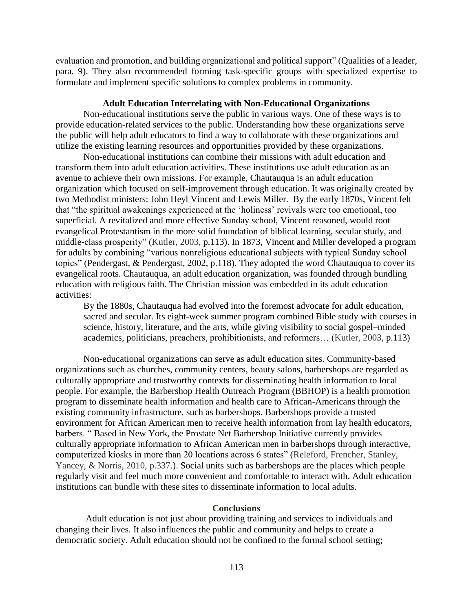evaluation and promotion, and building organizational and political support" [\(Qualities of a leader,](http://web.ebscohost.com/ehost/detail?sid=d3f2f3ce-e340-4453-85ea-05f4d282c8d3%40sessionmgr110&vid=2&hid=127&bdata=JnNpdGU9ZWhvc3QtbGl2ZQ%3d%3d#toc) para. 9). They also recommended forming task-specific groups with specialized expertise to formulate and implement specific solutions to complex problems in community.

#### **Adult Education Interrelating with Non-Educational Organizations**

Non-educational institutions serve the public in various ways. One of these ways is to provide education-related services to the public. Understanding how these organizations serve the public will help adult educators to find a way to collaborate with these organizations and utilize the existing learning resources and opportunities provided by these organizations.

Non-educational institutions can combine their missions with adult education and transform them into adult education activities. These institutions use adult education as an avenue to achieve their own missions. For example, Chautauqua is an adult education organization which focused on self-improvement through education. It was originally created by two Methodist ministers: John Heyl Vincent and Lewis Miller. By the early 1870s, Vincent felt that "the spiritual awakenings experienced at the 'holiness' revivals were too emotional, too superficial. A revitalized and more effective Sunday school, Vincent reasoned, would root evangelical Protestantism in the more solid foundation of biblical learning, secular study, and middle-class prosperity" [\(Kutler,](http://www.goodreads.com/author/show/31382.Stanley_I_Kutler) 2003, p.113). In 1873, Vincent and Miller developed a program for adults by combining "various nonreligious educational subjects with typical Sunday school topics" [\(Pendergast,](http://www.amazon.com/s/ref=ntt_athr_dp_sr_1?ie=UTF8&field-author=Sara+Pendergast&search-alias=books&text=Sara+Pendergast&sort=relevancerank) & [Pendergast,](http://www.amazon.com/s/ref=ntt_athr_dp_sr_2?ie=UTF8&field-author=Tom+Pendergast&search-alias=books&text=Tom+Pendergast&sort=relevancerank) 2002, p.118). They adopted the word Chautauqua to cover its evangelical roots. Chautauqua, an adult education organization, was founded through bundling education with religious faith. The Christian mission was embedded in its adult education activities:

By the 1880s, Chautauqua had evolved into the foremost advocate for adult education, sacred and secular. Its eight-week summer program combined Bible study with courses in science, history, literature, and the arts, while giving visibility to social gospel–minded academics, politicians, preachers, prohibitionists, and reformers… [\(Kutler,](http://www.goodreads.com/author/show/31382.Stanley_I_Kutler) 2003, p.113)

Non-educational organizations can serve as adult education sites. Community-based organizations such as churches, community centers, beauty salons, barbershops are regarded as culturally appropriate and trustworthy contexts for disseminating health information to local people. For example, the Barbershop Health Outreach Program (BBHOP) is a health promotion program to disseminate health information and health care to African-Americans through the existing community infrastructure, such as barbershops. Barbershops provide a trusted environment for African American men to receive health information from lay health educators, barbers. " Based in New York, the Prostate Net Barbershop Initiative currently provides culturally appropriate information to African American men in barbershops through interactive, computerized kiosks in more than 20 locations across 6 states" (Releford, Frencher, Stanley, Yancey, & Norris, 2010, p.337.). Social units such as barbershops are the places which people regularly visit and feel much more convenient and comfortable to interact with. Adult education institutions can bundle with these sites to disseminate information to local adults.

### **Conclusions**

Adult education is not just about providing training and services to individuals and changing their lives. It also influences the public and community and helps to create a democratic society. Adult education should not be confined to the formal school setting;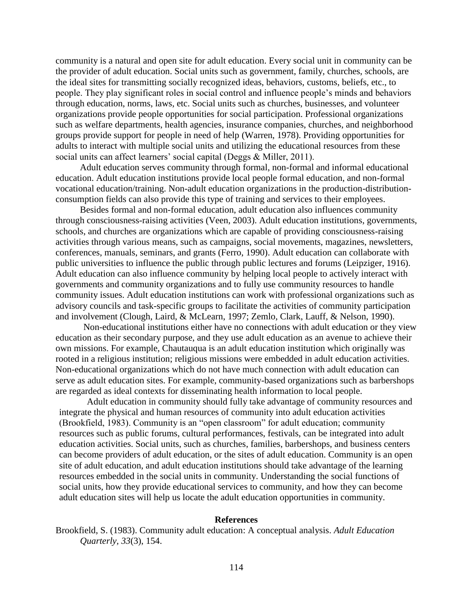community is a natural and open site for adult education. Every social unit in community can be the provider of adult education. Social units such as government, family, churches, schools, are the ideal sites for transmitting socially recognized ideas, behaviors, customs, beliefs, etc., to people. They play significant roles in social control and influence people's minds and behaviors through education, norms, laws, etc. Social units such as churches, businesses, and volunteer organizations provide people opportunities for social participation. Professional organizations such as welfare departments, health agencies, insurance companies, churches, and neighborhood groups provide support for people in need of help (Warren, 1978). Providing opportunities for adults to interact with multiple social units and utilizing the educational resources from these social units can affect learners' social capital (Deggs & Miller, 2011).

Adult education serves community through formal, non-formal and informal educational education. Adult education institutions provide local people formal education, and non-formal vocational education/training. Non-adult education organizations in the production-distributionconsumption fields can also provide this type of training and services to their employees.

Besides formal and non-formal education, adult education also influences community through consciousness-raising activities (Veen, 2003). Adult education institutions, governments, schools, and churches are organizations which are capable of providing consciousness-raising activities through various means, such as campaigns, social movements, magazines, newsletters, conferences, manuals, seminars, and grants (Ferro, 1990). Adult education can collaborate with public universities to influence the public through public lectures and forums (Leipziger, 1916). Adult education can also influence community by helping local people to actively interact with governments and community organizations and to fully use community resources to handle community issues. Adult education institutions can work with professional organizations such as advisory councils and task-specific groups to facilitate the activities of community participation and involvement (Clough, Laird, & McLearn, 1997; Zemlo, Clark, Lauff, & Nelson, 1990).

Non-educational institutions either have no connections with adult education or they view education as their secondary purpose, and they use adult education as an avenue to achieve their own missions. For example, Chautauqua is an adult education institution which originally was rooted in a religious institution; religious missions were embedded in adult education activities. Non-educational organizations which do not have much connection with adult education can serve as adult education sites. For example, community-based organizations such as barbershops are regarded as ideal contexts for disseminating health information to local people.

Adult education in community should fully take advantage of community resources and integrate the physical and human resources of community into adult education activities (Brookfield, 1983). Community is an "open classroom" for adult education; community resources such as public forums, cultural performances, festivals, can be integrated into adult education activities. Social units, such as churches, families, barbershops, and business centers can become providers of adult education, or the sites of adult education. Community is an open site of adult education, and adult education institutions should take advantage of the learning resources embedded in the social units in community. Understanding the social functions of social units, how they provide educational services to community, and how they can become adult education sites will help us locate the adult education opportunities in community.

#### **References**

Brookfield, S. (1983). Community adult education: A conceptual analysis. *Adult Education Quarterly, 33*(3), 154.